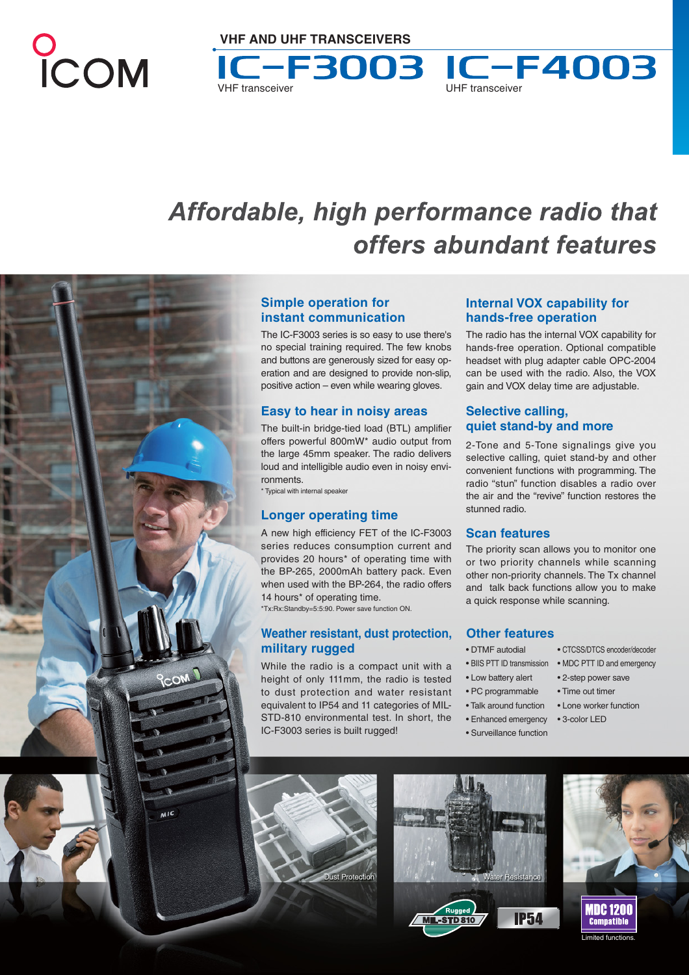# COM

# Affordable, high performance radio that offers abundant features



The IC-F3003 series is so easy to use there's no special training required. The few knobs and buttons are generously sized for easy operation and are designed to provide non-slip, positive action – even while wearing gloves.

# **Easy to hear in noisy areas**

The built-in bridge-tied load (BTL) amplifier offers powerful 800mW\* audio output from the large 45mm speaker. The radio delivers loud and intelligible audio even in noisy environments.

\* Typical with internal speaker

# **Longer operating time**

A new high efficiency FET of the IC-F3003 series reduces consumption current and provides 20 hours\* of operating time with the BP-265, 2000mAh battery pack. Even when used with the BP-264, the radio offers 14 hours\* of operating time.

\*Tx:Rx:Standby=5:5:90. Power save function ON.

# **Weather resistant, dust protection, military rugged**

While the radio is a compact unit with a height of only 111mm, the radio is tested to dust protection and water resistant equivalent to IP54 and 11 categories of MIL-STD-810 environmental test. In short, the IC-F3003 series is built rugged!



COM

 $\overline{M}$ 

**Internal VOX capability for hands-free operation**

The radio has the internal VOX capability for hands-free operation. Optional compatible headset with plug adapter cable OPC-2004 can be used with the radio. Also, the VOX gain and VOX delay time are adjustable.

# **Selective calling, quiet stand-by and more**

2-Tone and 5-Tone signalings give you selective calling, quiet stand-by and other convenient functions with programming. The radio "stun" function disables a radio over the air and the "revive" function restores the stunned radio.

# **Scan features**

The priority scan allows you to monitor one or two priority channels while scanning other non-priority channels. The Tx channel and talk back functions allow you to make a quick response while scanning.

# **Other features**

- DTMF autodial CTCSS/DTCS encoder/decoder
- BIIS PTT ID transmission MDC PTT ID and emergency
- Low battery alert 2-step power save
- 
- Talk around function Lone worker function
- Enhanced emergency 3-color LED
- Surveillance function

**IP54** 

NDC 1200 **Comnatible** imited funct







VHF transceiver